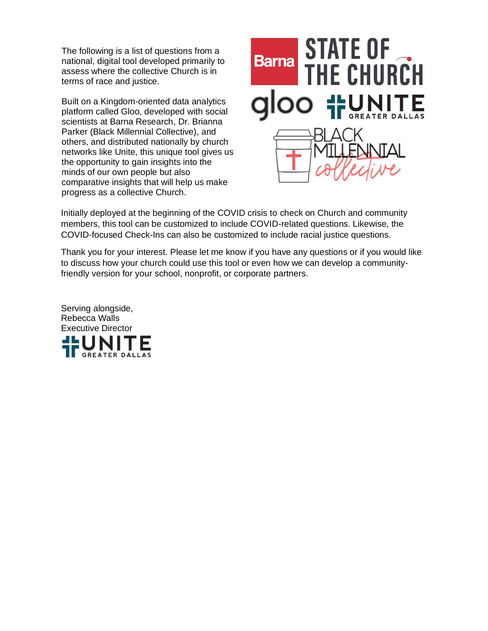The following is a list of questions from a national, digital tool developed primarily to assess where the collective Church is in terms of race and justice.

Built on a Kingdom-oriented data analytics platform called Gloo, developed with social scientists at Barna Research, Dr. Brianna Parker (Black Millennial Collective), and others, and distributed nationally by church networks like Unite, this unique tool gives us the opportunity to gain insights into the minds of our own people but also comparative insights that will help us make progress as a collective Church.



Initially deployed at the beginning of the COVID crisis to check on Church and community members, this tool can be customized to include COVID-related questions. Likewise, the COVID-focused Check-Ins can also be customized to include racial justice questions.

Thank you for your interest. Please let me know if you have any questions or if you would like to discuss how your church could use this tool or even how we can develop a communityfriendly version for your school, nonprofit, or corporate partners.

Serving alongside, Rebecca Walls Executive DirectorGREATER DAI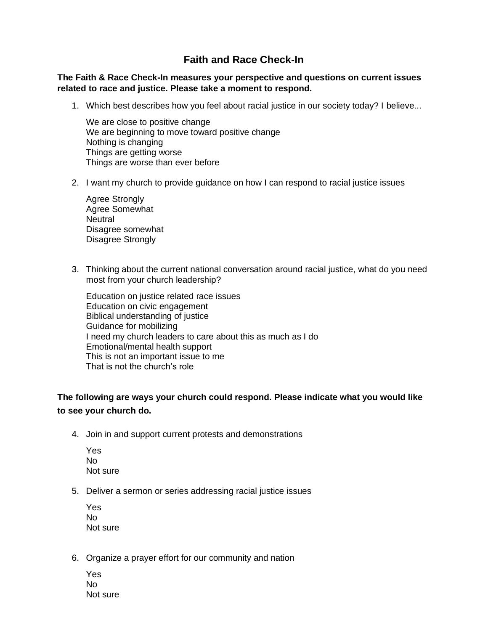## **Faith and Race Check-In**

## **The Faith & Race Check-In measures your perspective and questions on current issues related to race and justice. Please take a moment to respond.**

1. Which best describes how you feel about racial justice in our society today? I believe...

We are close to positive change We are beginning to move toward positive change Nothing is changing Things are getting worse Things are worse than ever before

2. I want my church to provide guidance on how I can respond to racial justice issues

Agree Strongly Agree Somewhat **Neutral** Disagree somewhat Disagree Strongly

3. Thinking about the current national conversation around racial justice, what do you need most from your church leadership?

Education on justice related race issues Education on civic engagement Biblical understanding of justice Guidance for mobilizing I need my church leaders to care about this as much as I do Emotional/mental health support This is not an important issue to me That is not the church's role

## **The following are ways your church could respond. Please indicate what you would like to see your church do.**

4. Join in and support current protests and demonstrations

| Yes |          |
|-----|----------|
| Nο  |          |
|     | Not sure |

5. Deliver a sermon or series addressing racial justice issues

Yes No Not sure

6. Organize a prayer effort for our community and nation

Yes No Not sure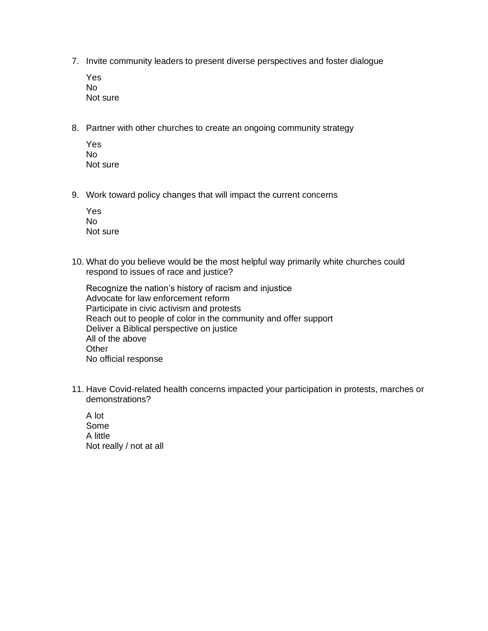- 7. Invite community leaders to present diverse perspectives and foster dialogue
	- Yes No Not sure
- 8. Partner with other churches to create an ongoing community strategy
	- Yes No Not sure
- 9. Work toward policy changes that will impact the current concerns

| Yes |          |
|-----|----------|
| Nο  |          |
|     | Not sure |

10. What do you believe would be the most helpful way primarily white churches could respond to issues of race and justice?

Recognize the nation's history of racism and injustice Advocate for law enforcement reform Participate in civic activism and protests Reach out to people of color in the community and offer support Deliver a Biblical perspective on justice All of the above **Other** No official response

11. Have Covid-related health concerns impacted your participation in protests, marches or demonstrations?

A lot Some A little Not really / not at all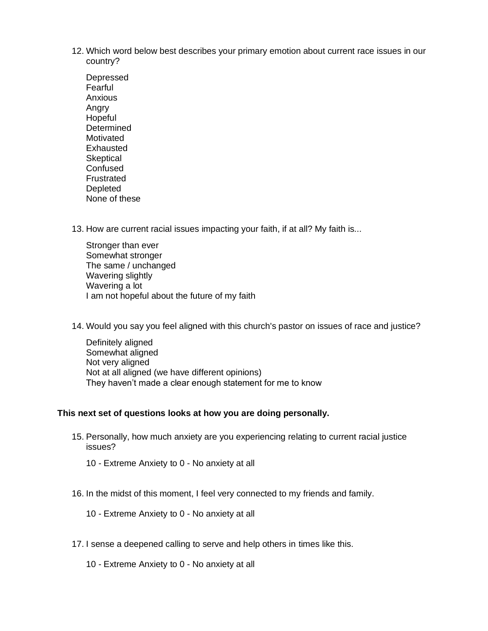- 12. Which word below best describes your primary emotion about current race issues in our country?
	- Depressed Fearful Anxious Angry Hopeful **Determined** Motivated Exhausted **Skeptical Confused** Frustrated Depleted None of these
- 13. How are current racial issues impacting your faith, if at all? My faith is...
	- Stronger than ever Somewhat stronger The same / unchanged Wavering slightly Wavering a lot I am not hopeful about the future of my faith
- 14. Would you say you feel aligned with this church's pastor on issues of race and justice?

Definitely aligned Somewhat aligned Not very aligned Not at all aligned (we have different opinions) They haven't made a clear enough statement for me to know

## **This next set of questions looks at how you are doing personally.**

- 15. Personally, how much anxiety are you experiencing relating to current racial justice issues?
	- 10 Extreme Anxiety to 0 No anxiety at all
- 16. In the midst of this moment, I feel very connected to my friends and family.
	- 10 Extreme Anxiety to 0 No anxiety at all
- 17. I sense a deepened calling to serve and help others in times like this.
	- 10 Extreme Anxiety to 0 No anxiety at all